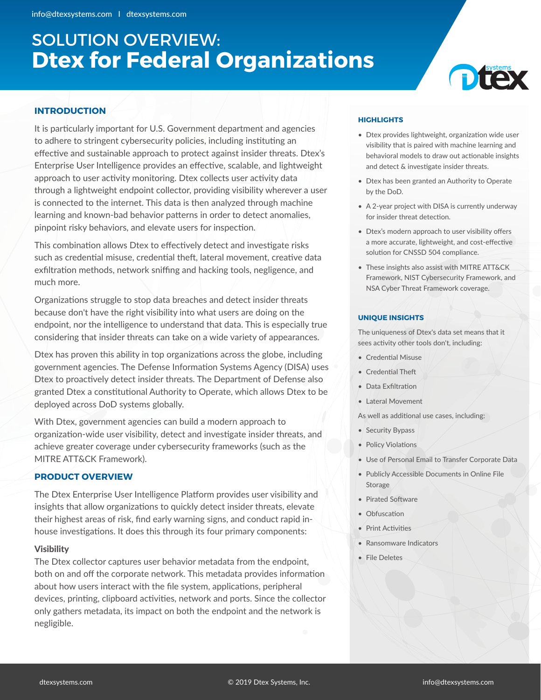# SOLUTION OVERVIEW: **Dtex for Federal Organizations**



## **INTRODUCTION**

It is particularly important for U.S. Government department and agencies to adhere to stringent cybersecurity policies, including instituting an effective and sustainable approach to protect against insider threats. Dtex's Enterprise User Intelligence provides an effective, scalable, and lightweight approach to user activity monitoring. Dtex collects user activity data through a lightweight endpoint collector, providing visibility wherever a user is connected to the internet. This data is then analyzed through machine learning and known-bad behavior patterns in order to detect anomalies, pinpoint risky behaviors, and elevate users for inspection.

This combination allows Dtex to effectively detect and investigate risks such as credential misuse, credential theft, lateral movement, creative data exfiltration methods, network sniffing and hacking tools, negligence, and much more.

Organizations struggle to stop data breaches and detect insider threats because don't have the right visibility into what users are doing on the endpoint, nor the intelligence to understand that data. This is especially true considering that insider threats can take on a wide variety of appearances.

Dtex has proven this ability in top organizations across the globe, including government agencies. The Defense Information Systems Agency (DISA) uses Dtex to proactively detect insider threats. The Department of Defense also granted Dtex a constitutional Authority to Operate, which allows Dtex to be deployed across DoD systems globally.

With Dtex, government agencies can build a modern approach to organization-wide user visibility, detect and investigate insider threats, and achieve greater coverage under cybersecurity frameworks (such as the MITRE ATT&CK Framework).

## **PRODUCT OVERVIEW**

The Dtex Enterprise User Intelligence Platform provides user visibility and insights that allow organizations to quickly detect insider threats, elevate their highest areas of risk, find early warning signs, and conduct rapid inhouse investigations. It does this through its four primary components:

## Visibility

The Dtex collector captures user behavior metadata from the endpoint, both on and off the corporate network. This metadata provides information about how users interact with the file system, applications, peripheral devices, printing, clipboard activities, network and ports. Since the collector only gathers metadata, its impact on both the endpoint and the network is negligible.

## **HIGHLIGHTS**

- Dtex provides lightweight, organization wide user visibility that is paired with machine learning and behavioral models to draw out actionable insights and detect & investigate insider threats.
- Dtex has been granted an Authority to Operate by the DoD.
- A 2-year project with DISA is currently underway for insider threat detection.
- Dtex's modern approach to user visibility offers a more accurate, lightweight, and cost-effective solution for CNSSD 504 compliance.
- These insights also assist with MITRE ATT&CK Framework, NIST Cybersecurity Framework, and NSA Cyber Threat Framework coverage.

#### **UNIQUE INSIGHTS**

The uniqueness of Dtex's data set means that it sees activity other tools don't, including:

- Credential Misuse
- Credential Theft
- Data Exfiltration
- Lateral Movement
- As well as additional use cases, including:
- Security Bypass
- Policy Violations
- Use of Personal Email to Transfer Corporate Data
- Publicly Accessible Documents in Online File Storage
- Pirated Software
- Obfuscation
- Print Activities
- Ransomware Indicators
- File Deletes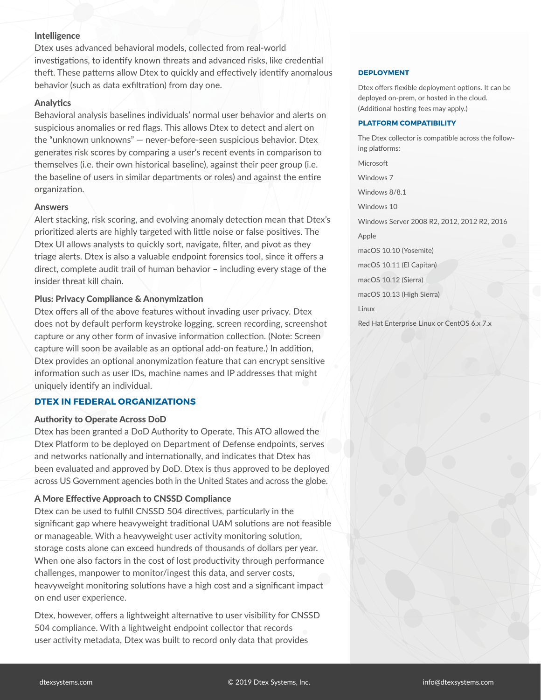## Intelligence

Dtex uses advanced behavioral models, collected from real-world investigations, to identify known threats and advanced risks, like credential theft. These patterns allow Dtex to quickly and effectively identify anomalous behavior (such as data exfiltration) from day one.

### **Analytics**

Behavioral analysis baselines individuals' normal user behavior and alerts on suspicious anomalies or red flags. This allows Dtex to detect and alert on the "unknown unknowns" — never-before-seen suspicious behavior. Dtex generates risk scores by comparing a user's recent events in comparison to themselves (i.e. their own historical baseline), against their peer group (i.e. the baseline of users in similar departments or roles) and against the entire organization.

#### **Answers**

Alert stacking, risk scoring, and evolving anomaly detection mean that Dtex's prioritized alerts are highly targeted with little noise or false positives. The Dtex UI allows analysts to quickly sort, navigate, filter, and pivot as they triage alerts. Dtex is also a valuable endpoint forensics tool, since it offers a direct, complete audit trail of human behavior – including every stage of the insider threat kill chain.

#### Plus: Privacy Compliance & Anonymization

Dtex offers all of the above features without invading user privacy. Dtex does not by default perform keystroke logging, screen recording, screenshot capture or any other form of invasive information collection. (Note: Screen capture will soon be available as an optional add-on feature.) In addition, Dtex provides an optional anonymization feature that can encrypt sensitive information such as user IDs, machine names and IP addresses that might uniquely identify an individual.

#### **DTEX IN FEDERAL ORGANIZATIONS**

#### Authority to Operate Across DoD

Dtex has been granted a DoD Authority to Operate. This ATO allowed the Dtex Platform to be deployed on Department of Defense endpoints, serves and networks nationally and internationally, and indicates that Dtex has been evaluated and approved by DoD. Dtex is thus approved to be deployed across US Government agencies both in the United States and across the globe.

#### A More Effective Approach to CNSSD Compliance

Dtex can be used to fulfill CNSSD 504 directives, particularly in the significant gap where heavyweight traditional UAM solutions are not feasible or manageable. With a heavyweight user activity monitoring solution, storage costs alone can exceed hundreds of thousands of dollars per year. When one also factors in the cost of lost productivity through performance challenges, manpower to monitor/ingest this data, and server costs, heavyweight monitoring solutions have a high cost and a significant impact on end user experience.

Dtex, however, offers a lightweight alternative to user visibility for CNSSD 504 compliance. With a lightweight endpoint collector that records user activity metadata, Dtex was built to record only data that provides

#### **DEPLOYMENT**

Dtex offers flexible deployment options. It can be deployed on-prem, or hosted in the cloud. (Additional hosting fees may apply.)

#### **PLATFORM COMPATIBILITY**

The Dtex collector is compatible across the following platforms: Microsoft Windows 7 Windows 8/8.1 Windows 10 Windows Server 2008 R2, 2012, 2012 R2, 2016 Apple macOS 10.10 (Yosemite) macOS 10.11 (El Capitan) macOS 10.12 (Sierra) macOS 10.13 (High Sierra) Linux Red Hat Enterprise Linux or CentOS 6.x 7.x